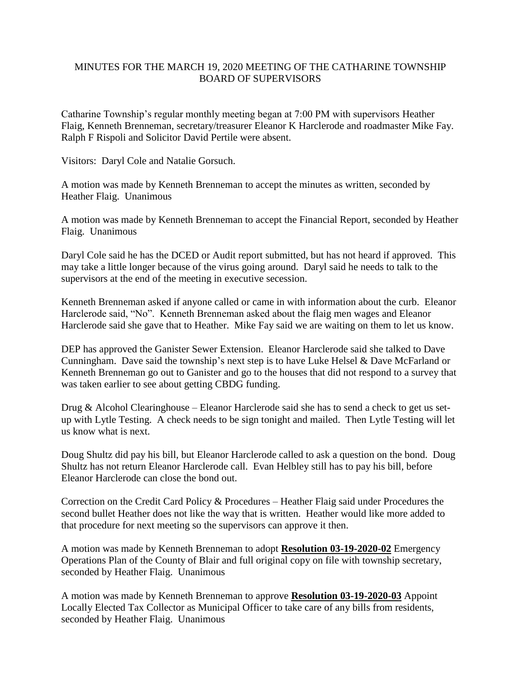## MINUTES FOR THE MARCH 19, 2020 MEETING OF THE CATHARINE TOWNSHIP BOARD OF SUPERVISORS

Catharine Township's regular monthly meeting began at 7:00 PM with supervisors Heather Flaig, Kenneth Brenneman, secretary/treasurer Eleanor K Harclerode and roadmaster Mike Fay. Ralph F Rispoli and Solicitor David Pertile were absent.

Visitors: Daryl Cole and Natalie Gorsuch.

A motion was made by Kenneth Brenneman to accept the minutes as written, seconded by Heather Flaig. Unanimous

A motion was made by Kenneth Brenneman to accept the Financial Report, seconded by Heather Flaig. Unanimous

Daryl Cole said he has the DCED or Audit report submitted, but has not heard if approved. This may take a little longer because of the virus going around. Daryl said he needs to talk to the supervisors at the end of the meeting in executive secession.

Kenneth Brenneman asked if anyone called or came in with information about the curb. Eleanor Harclerode said, "No". Kenneth Brenneman asked about the flaig men wages and Eleanor Harclerode said she gave that to Heather. Mike Fay said we are waiting on them to let us know.

DEP has approved the Ganister Sewer Extension. Eleanor Harclerode said she talked to Dave Cunningham. Dave said the township's next step is to have Luke Helsel & Dave McFarland or Kenneth Brenneman go out to Ganister and go to the houses that did not respond to a survey that was taken earlier to see about getting CBDG funding.

Drug & Alcohol Clearinghouse – Eleanor Harclerode said she has to send a check to get us setup with Lytle Testing. A check needs to be sign tonight and mailed. Then Lytle Testing will let us know what is next.

Doug Shultz did pay his bill, but Eleanor Harclerode called to ask a question on the bond. Doug Shultz has not return Eleanor Harclerode call. Evan Helbley still has to pay his bill, before Eleanor Harclerode can close the bond out.

Correction on the Credit Card Policy & Procedures – Heather Flaig said under Procedures the second bullet Heather does not like the way that is written. Heather would like more added to that procedure for next meeting so the supervisors can approve it then.

A motion was made by Kenneth Brenneman to adopt **Resolution 03-19-2020-02** Emergency Operations Plan of the County of Blair and full original copy on file with township secretary, seconded by Heather Flaig. Unanimous

A motion was made by Kenneth Brenneman to approve **Resolution 03-19-2020-03** Appoint Locally Elected Tax Collector as Municipal Officer to take care of any bills from residents, seconded by Heather Flaig. Unanimous